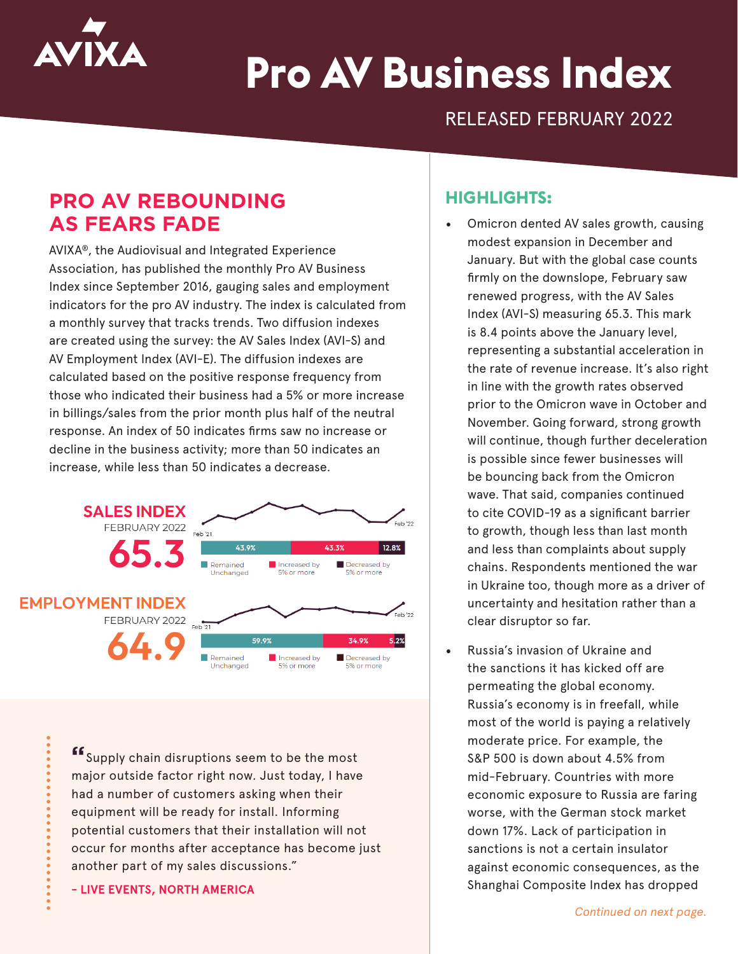

# **Pro AV Business Index**

RELEASED FEBRUARY 2022

# **PRO AV REBOUNDING AS FEARS FADE**

AVIXA®, the Audiovisual and Integrated Experience Association, has published the monthly Pro AV Business Index since September 2016, gauging sales and employment indicators for the pro AV industry. The index is calculated from a monthly survey that tracks trends. Two diffusion indexes are created using the survey: the AV Sales Index (AVI-S) and AV Employment Index (AVI-E). The diffusion indexes are calculated based on the positive response frequency from those who indicated their business had a 5% or more increase in billings/sales from the prior month plus half of the neutral response. An index of 50 indicates firms saw no increase or decline in the business activity; more than 50 indicates an increase, while less than 50 indicates a decrease.



**"**Supply chain disruptions seem to be the most major outside factor right now. Just today, I have had a number of customers asking when their equipment will be ready for install. Informing potential customers that their installation will not occur for months after acceptance has become just another part of my sales discussions."

**- LIVE EVENTS, NORTH AMERICA**

### **HIGHLIGHTS:**

- Omicron dented AV sales growth, causing modest expansion in December and January. But with the global case counts firmly on the downslope, February saw renewed progress, with the AV Sales Index (AVI-S) measuring 65.3. This mark is 8.4 points above the January level, representing a substantial acceleration in the rate of revenue increase. It's also right in line with the growth rates observed prior to the Omicron wave in October and November. Going forward, strong growth will continue, though further deceleration is possible since fewer businesses will be bouncing back from the Omicron wave. That said, companies continued to cite COVID-19 as a significant barrier to growth, though less than last month and less than complaints about supply chains. Respondents mentioned the war in Ukraine too, though more as a driver of uncertainty and hesitation rather than a clear disruptor so far.
- Russia's invasion of Ukraine and the sanctions it has kicked off are permeating the global economy. Russia's economy is in freefall, while most of the world is paying a relatively moderate price. For example, the S&P 500 is down about 4.5% from mid-February. Countries with more economic exposure to Russia are faring worse, with the German stock market down 17%. Lack of participation in sanctions is not a certain insulator against economic consequences, as the Shanghai Composite Index has dropped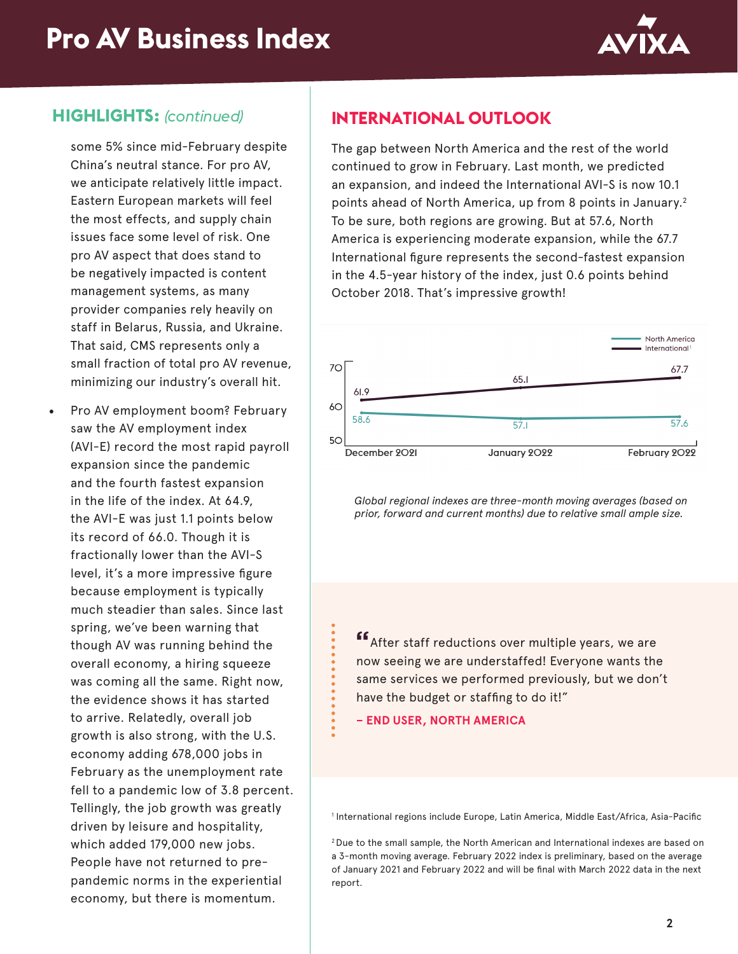

### **HIGHLIGHTS:** *(continued)*

some 5% since mid-February despite China's neutral stance. For pro AV, we anticipate relatively little impact. Eastern European markets will feel the most effects, and supply chain issues face some level of risk. One pro AV aspect that does stand to be negatively impacted is content management systems, as many provider companies rely heavily on staff in Belarus, Russia, and Ukraine. That said, CMS represents only a small fraction of total pro AV revenue, minimizing our industry's overall hit.

• Pro AV employment boom? February saw the AV employment index (AVI-E) record the most rapid payroll expansion since the pandemic and the fourth fastest expansion in the life of the index. At 64.9, the AVI-E was just 1.1 points below its record of 66.0. Though it is fractionally lower than the AVI-S level, it's a more impressive figure because employment is typically much steadier than sales. Since last spring, we've been warning that though AV was running behind the overall economy, a hiring squeeze was coming all the same. Right now, the evidence shows it has started to arrive. Relatedly, overall job growth is also strong, with the U.S. economy adding 678,000 jobs in February as the unemployment rate fell to a pandemic low of 3.8 percent. Tellingly, the job growth was greatly driven by leisure and hospitality, which added 179,000 new jobs. People have not returned to prepandemic norms in the experiential economy, but there is momentum.

## **INTERNATIONAL OUTLOOK**

The gap between North America and the rest of the world continued to grow in February. Last month, we predicted an expansion, and indeed the International AVI-S is now 10.1 points ahead of North America, up from 8 points in January.<sup>2</sup> To be sure, both regions are growing. But at 57.6, North America is experiencing moderate expansion, while the 67.7 International figure represents the second-fastest expansion in the 4.5-year history of the index, just 0.6 points behind October 2018. That's impressive growth!



*Global regional indexes are three-month moving averages (based on prior, forward and current months) due to relative small ample size.*

**"**After staff reductions over multiple years, we are now seeing we are understaffed! Everyone wants the same services we performed previously, but we don't have the budget or staffing to do it!"

**– END USER, NORTH AMERICA**

1 International regions include Europe, Latin America, Middle East/Africa, Asia-Pacific

2 Due to the small sample, the North American and International indexes are based on a 3-month moving average. February 2022 index is preliminary, based on the average of January 2021 and February 2022 and will be final with March 2022 data in the next report.